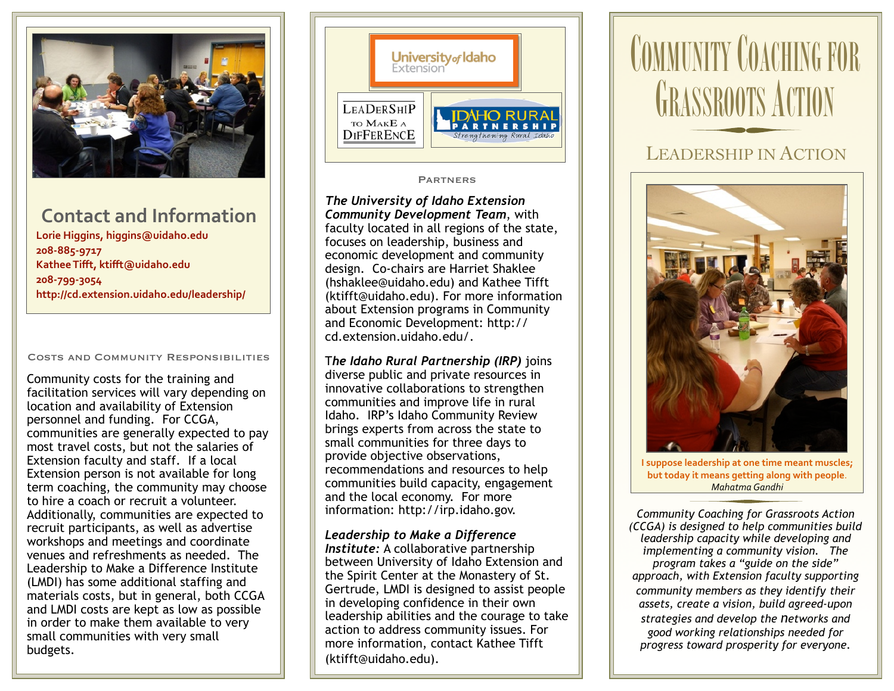

## **Contact and Information**

**Lorie Higgins, [higgins@uidaho.edu](mailto:higgins@uidaho.edu) 208-885-9717 Kathee Tifft, [ktifft@uidaho.edu](mailto:ktifft@uidaho.edu) 208-799-3054 <http://cd.extension.uidaho.edu/leadership/>** 

#### Costs and Community Responsibilities

Community costs for the training and facilitation services will vary depending on location and availability of Extension personnel and funding. For CCGA, communities are generally expected to pay most travel costs, but not the salaries of Extension faculty and staff. If a local Extension person is not available for long term coaching, the community may choose to hire a coach or recruit a volunteer. Additionally, communities are expected to recruit participants, as well as advertise workshops and meetings and coordinate venues and refreshments as needed. The Leadership to Make a Difference Institute (LMDI) has some additional staffing and materials costs, but in general, both CCGA and LMDI costs are kept as low as possible in order to make them available to very small communities with very small budgets.



#### **PARTNERS**

*The University of Idaho Extension Community Development Team*, with faculty located in all regions of the state, focuses on leadership, business and economic development and community design. Co-chairs are Harriet Shaklee [\(hshaklee@uidaho.edu\)](mailto:hshaklee@uidaho.edu) and Kathee Tifft (ktifft@uidaho.edu). For more information about Extension programs in Community and Economic Development: [http://](http://cd.extension.uidaho.edu/) [cd.extension.uidaho.edu/.](http://cd.extension.uidaho.edu/)

T*he Idaho Rural Partnership (IRP)* joins diverse public and private resources in innovative collaborations to strengthen communities and improve life in rural Idaho. IRP's Idaho Community Review brings experts from across the state to small communities for three days to provide objective observations, recommendations and resources to help communities build capacity, engagement and the local economy. For more information: [http://irp.idaho.gov.](http://irp.idaho.gov)

*Leadership to Make a Difference Institute:* A collaborative partnership between University of Idaho Extension and the Spirit Center at the Monastery of St. Gertrude, LMDI is designed to assist people in developing confidence in their own leadership abilities and the courage to take action to address community issues. For more information, contact Kathee Tifft [\(ktifft@uidaho.edu\)](mailto:ktifft@uidaho.edu).

# **COMMUNITY COACHING FOR GRASSROOTS ACTION**

## LEADERSHIP IN ACTION



**I** suppose leadership at one time meant muscles; but today it means getting along with people. *Mahatma Gandhi*

*Community Coaching for Grassroots Action (CCGA) is designed to help communities build leadership capacity while developing and implementing a community vision. The program takes a "guide on the side" approach, with Extension faculty supporting community members as they identify their assets, create a vision, build agreed-upon strategies and develop the networks and good working relationships needed for progress toward prosperity for everyone.*